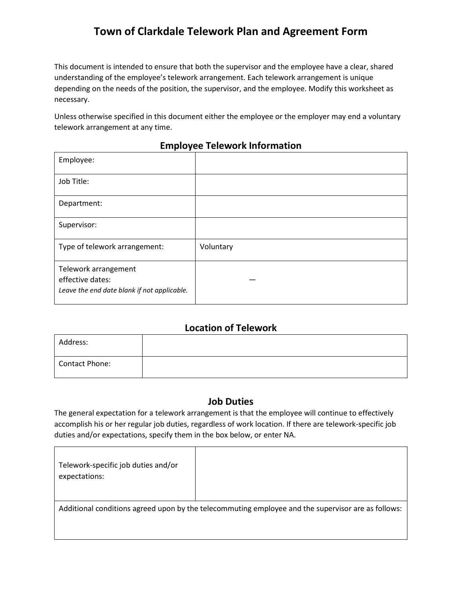# **Town of Clarkdale Telework Plan and Agreement Form**

This document is intended to ensure that both the supervisor and the employee have a clear, shared understanding of the employee's telework arrangement. Each telework arrangement is unique depending on the needs of the position, the supervisor, and the employee. Modify this worksheet as necessary.

Unless otherwise specified in this document either the employee or the employer may end a voluntary telework arrangement at any time.

| Employee:                                                                               |           |
|-----------------------------------------------------------------------------------------|-----------|
| Job Title:                                                                              |           |
| Department:                                                                             |           |
| Supervisor:                                                                             |           |
| Type of telework arrangement:                                                           | Voluntary |
| Telework arrangement<br>effective dates:<br>Leave the end date blank if not applicable. |           |

#### **Employee Telework Information**

### **Location of Telework**

| Address:       |  |
|----------------|--|
| Contact Phone: |  |

## **Job Duties**

The general expectation for a telework arrangement is that the employee will continue to effectively accomplish his or her regular job duties, regardless of work location. If there are telework-specific job duties and/or expectations, specify them in the box below, or enter NA.

| Telework-specific job duties and/or<br>expectations: |                                                                                                    |
|------------------------------------------------------|----------------------------------------------------------------------------------------------------|
|                                                      | Additional conditions agreed upon by the telecommuting employee and the supervisor are as follows: |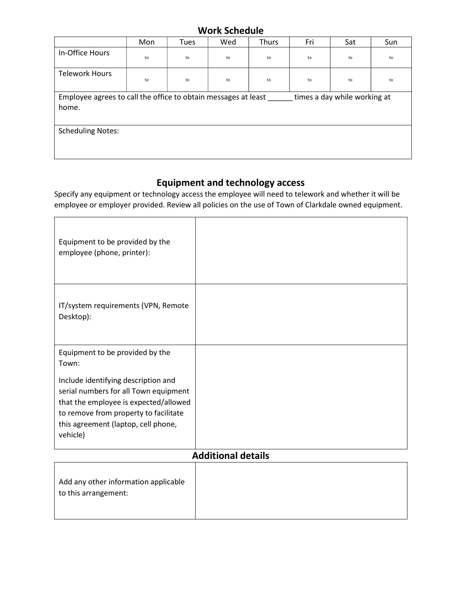# Work Schedule

|                                                                                                         | Mon | Tues | Wed | Thurs | Fri | Sat | Sun |
|---------------------------------------------------------------------------------------------------------|-----|------|-----|-------|-----|-----|-----|
| In-Office Hours                                                                                         | to  | to   | to  | to    | to  | to  | to  |
| <b>Telework Hours</b>                                                                                   | to  | to   | to  | to    | to  | to  | to  |
| Employee agrees to call the office to obtain messages at least<br>times a day while working at<br>home. |     |      |     |       |     |     |     |
| <b>Scheduling Notes:</b>                                                                                |     |      |     |       |     |     |     |

# Equipment and technology access

Specify any equipment or technology access the employee will need to telework and whether it will be employee or employer provided. Review all policies on the use of Town of Clarkdale owned equipment.

| Equipment to be provided by the<br>employee (phone, printer):                                                                                                                                                     |  |  |  |  |
|-------------------------------------------------------------------------------------------------------------------------------------------------------------------------------------------------------------------|--|--|--|--|
| IT/system requirements (VPN, Remote<br>Desktop):                                                                                                                                                                  |  |  |  |  |
| Equipment to be provided by the<br>Town:                                                                                                                                                                          |  |  |  |  |
| Include identifying description and<br>serial numbers for all Town equipment<br>that the employee is expected/allowed<br>to remove from property to facilitate<br>this agreement (laptop, cell phone,<br>vehicle) |  |  |  |  |
| <b>Additional details</b>                                                                                                                                                                                         |  |  |  |  |
| Add any other information applicable<br>to this arrangement:                                                                                                                                                      |  |  |  |  |